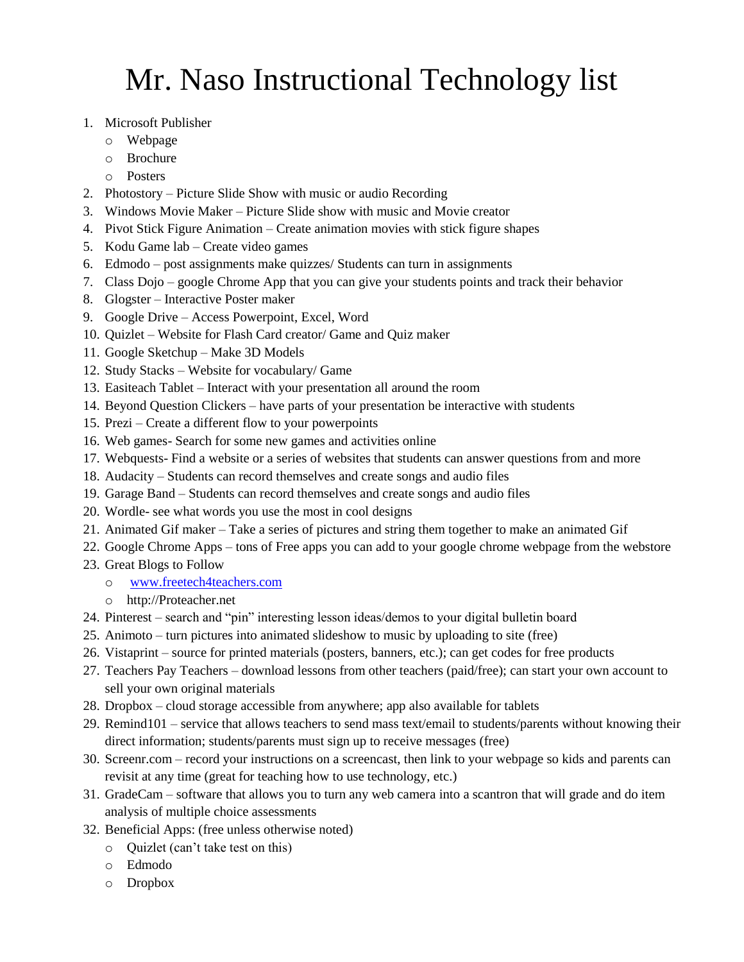## Mr. Naso Instructional Technology list

- 1. Microsoft Publisher
	- o Webpage
	- o Brochure
	- o Posters
- 2. Photostory Picture Slide Show with music or audio Recording
- 3. Windows Movie Maker Picture Slide show with music and Movie creator
- 4. Pivot Stick Figure Animation Create animation movies with stick figure shapes
- 5. Kodu Game lab Create video games
- 6. Edmodo post assignments make quizzes/ Students can turn in assignments
- 7. Class Dojo google Chrome App that you can give your students points and track their behavior
- 8. Glogster Interactive Poster maker
- 9. Google Drive Access Powerpoint, Excel, Word
- 10. Quizlet Website for Flash Card creator/ Game and Quiz maker
- 11. Google Sketchup Make 3D Models
- 12. Study Stacks Website for vocabulary/ Game
- 13. Easiteach Tablet Interact with your presentation all around the room
- 14. Beyond Question Clickers have parts of your presentation be interactive with students
- 15. Prezi Create a different flow to your powerpoints
- 16. Web games- Search for some new games and activities online
- 17. Webquests- Find a website or a series of websites that students can answer questions from and more
- 18. Audacity Students can record themselves and create songs and audio files
- 19. Garage Band Students can record themselves and create songs and audio files
- 20. Wordle- see what words you use the most in cool designs
- 21. Animated Gif maker Take a series of pictures and string them together to make an animated Gif
- 22. Google Chrome Apps tons of Free apps you can add to your google chrome webpage from the webstore
- 23. Great Blogs to Follow
	- o [www.freetech4teachers.com](http://www.freetech4teachers.com/)
	- o http://Proteacher.net
- 24. Pinterest search and "pin" interesting lesson ideas/demos to your digital bulletin board
- 25. Animoto turn pictures into animated slideshow to music by uploading to site (free)
- 26. Vistaprint source for printed materials (posters, banners, etc.); can get codes for free products
- 27. Teachers Pay Teachers download lessons from other teachers (paid/free); can start your own account to sell your own original materials
- 28. Dropbox cloud storage accessible from anywhere; app also available for tablets
- 29. Remind101 service that allows teachers to send mass text/email to students/parents without knowing their direct information; students/parents must sign up to receive messages (free)
- 30. Screenr.com record your instructions on a screencast, then link to your webpage so kids and parents can revisit at any time (great for teaching how to use technology, etc.)
- 31. GradeCam software that allows you to turn any web camera into a scantron that will grade and do item analysis of multiple choice assessments
- 32. Beneficial Apps: (free unless otherwise noted)
	- o Quizlet (can't take test on this)
	- o Edmodo
	- o Dropbox